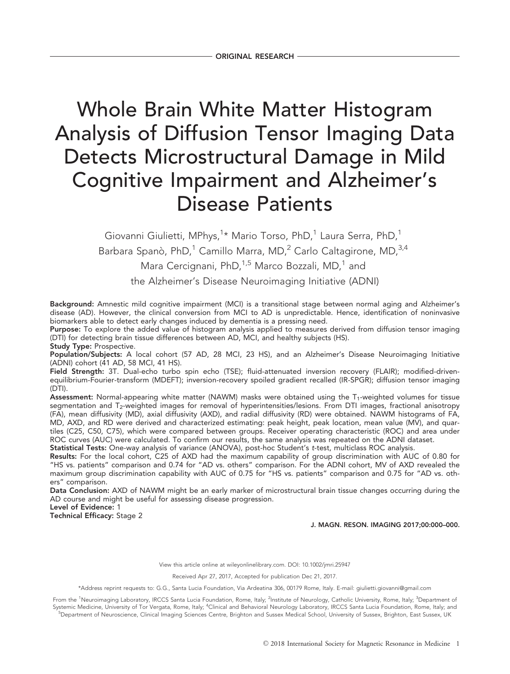# Whole Brain White Matter Histogram Analysis of Diffusion Tensor Imaging Data Detects Microstructural Damage in Mild Cognitive Impairment and Alzheimer's Disease Patients

Giovanni Giulietti, MPhys,<sup>1</sup>\* Mario Torso, PhD,<sup>1</sup> Laura Serra, PhD,<sup>1</sup> Barbara Spanò, PhD, $^1$  Camillo Marra, MD, $^2$  Carlo Caltagirone, MD, $^{3,4}$ Mara Cercignani, PhD, $1.5$  Marco Bozzali, MD, $1$  and the Alzheimer's Disease Neuroimaging Initiative (ADNI)

Background: Amnestic mild cognitive impairment (MCI) is a transitional stage between normal aging and Alzheimer's disease (AD). However, the clinical conversion from MCI to AD is unpredictable. Hence, identification of noninvasive biomarkers able to detect early changes induced by dementia is a pressing need.

Purpose: To explore the added value of histogram analysis applied to measures derived from diffusion tensor imaging (DTI) for detecting brain tissue differences between AD, MCI, and healthy subjects (HS).

Study Type: Prospective.

Population/Subjects: A local cohort (57 AD, 28 MCI, 23 HS), and an Alzheimer's Disease Neuroimaging Initiative (ADNI) cohort (41 AD, 58 MCI, 41 HS).

Field Strength: 3T. Dual-echo turbo spin echo (TSE); fluid-attenuated inversion recovery (FLAIR); modified-drivenequilibrium-Fourier-transform (MDEFT); inversion-recovery spoiled gradient recalled (IR-SPGR); diffusion tensor imaging (DTI).

Assessment: Normal-appearing white matter (NAWM) masks were obtained using the  $T_1$ -weighted volumes for tissue segmentation and T<sub>2</sub>-weighted images for removal of hyperintensities/lesions. From DTI images, fractional anisotropy (FA), mean diffusivity (MD), axial diffusivity (AXD), and radial diffusivity (RD) were obtained. NAWM histograms of FA, MD, AXD, and RD were derived and characterized estimating: peak height, peak location, mean value (MV), and quartiles (C25, C50, C75), which were compared between groups. Receiver operating characteristic (ROC) and area under ROC curves (AUC) were calculated. To confirm our results, the same analysis was repeated on the ADNI dataset. Statistical Tests: One-way analysis of variance (ANOVA), post-hoc Student's t-test, multiclass ROC analysis.

Results: For the local cohort, C25 of AXD had the maximum capability of group discrimination with AUC of 0.80 for "HS vs. patients" comparison and 0.74 for "AD vs. others" comparison. For the ADNI cohort, MV of AXD revealed the maximum group discrimination capability with AUC of 0.75 for "HS vs. patients" comparison and 0.75 for "AD vs. others" comparison.

Data Conclusion: AXD of NAWM might be an early marker of microstructural brain tissue changes occurring during the AD course and might be useful for assessing disease progression.

Level of Evidence: 1

Technical Efficacy: Stage 2

J. MAGN. RESON. IMAGING 2017;00:000–000.

View this article online at wileyonlinelibrary.com. DOI: 10.1002/jmri.25947

Received Apr 27, 2017, Accepted for publication Dec 21, 2017.

\*Address reprint requests to: G.G., Santa Lucia Foundation, Via Ardeatina 306, 00179 Rome, Italy. E-mail: giulietti.giovanni@gmail.com

From the <sup>1</sup>Neuroimaging Laboratory, IRCCS Santa Lucia Foundation, Rome, Italy; <sup>2</sup>Institute of Neurology, Catholic University, Rome, Italy; <sup>3</sup>Department of Systemic Medicine, University of Tor Vergata, Rome, Italy; <sup>4</sup>Clinical and Behavioral Neurology Laboratory, IRCCS Santa Lucia Foundation, Rome, Italy; and <sup>5</sup>Department of Neuroscience, Clinical Imaging Sciences Centre, Brighton and Sussex Medical School, University of Sussex, Brighton, East Sussex, UK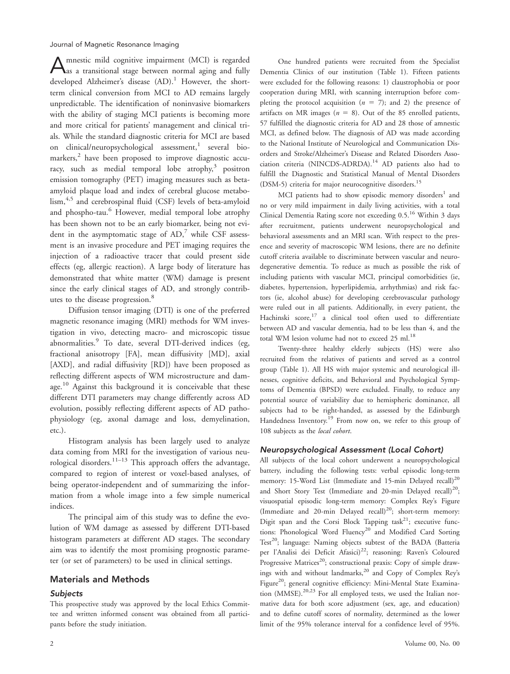Amnestic mild cognitive impairment (MCI) is regarded as a transitional stage between normal aging and fully developed Alzheimer's disease  $(AD)$ .<sup>1</sup> However, the shortterm clinical conversion from MCI to AD remains largely unpredictable. The identification of noninvasive biomarkers with the ability of staging MCI patients is becoming more and more critical for patients' management and clinical trials. While the standard diagnostic criteria for MCI are based on clinical/neuropsychological assessment,<sup>1</sup> several biomarkers,<sup>2</sup> have been proposed to improve diagnostic accuracy, such as medial temporal lobe atrophy, $3$  positron emission tomography (PET) imaging measures such as betaamyloid plaque load and index of cerebral glucose metabolism,<sup>4,5</sup> and cerebrospinal fluid (CSF) levels of beta-amyloid and phospho-tau.<sup>6</sup> However, medial temporal lobe atrophy has been shown not to be an early biomarker, being not evident in the asymptomatic stage of  $AD$ , while CSF assessment is an invasive procedure and PET imaging requires the injection of a radioactive tracer that could present side effects (eg, allergic reaction). A large body of literature has demonstrated that white matter (WM) damage is present since the early clinical stages of AD, and strongly contributes to the disease progression.<sup>8</sup>

Diffusion tensor imaging (DTI) is one of the preferred magnetic resonance imaging (MRI) methods for WM investigation in vivo, detecting macro- and microscopic tissue abnormalities.<sup>9</sup> To date, several DTI-derived indices (eg, fractional anisotropy [FA], mean diffusivity [MD], axial [AXD], and radial diffusivity [RD]) have been proposed as reflecting different aspects of WM microstructure and damage.<sup>10</sup> Against this background it is conceivable that these different DTI parameters may change differently across AD evolution, possibly reflecting different aspects of AD pathophysiology (eg, axonal damage and loss, demyelination, etc.).

Histogram analysis has been largely used to analyze data coming from MRI for the investigation of various neurological disorders.<sup>11–13</sup> This approach offers the advantage, compared to region of interest or voxel-based analyses, of being operator-independent and of summarizing the information from a whole image into a few simple numerical indices.

The principal aim of this study was to define the evolution of WM damage as assessed by different DTI-based histogram parameters at different AD stages. The secondary aim was to identify the most promising prognostic parameter (or set of parameters) to be used in clinical settings.

## Materials and Methods

## **Subjects**

This prospective study was approved by the local Ethics Committee and written informed consent was obtained from all participants before the study initiation.

One hundred patients were recruited from the Specialist Dementia Clinics of our institution (Table 1). Fifteen patients were excluded for the following reasons: 1) claustrophobia or poor cooperation during MRI, with scanning interruption before completing the protocol acquisition  $(n = 7)$ ; and 2) the presence of artifacts on MR images ( $n = 8$ ). Out of the 85 enrolled patients, 57 fulfilled the diagnostic criteria for AD and 28 those of amnestic MCI, as defined below. The diagnosis of AD was made according to the National Institute of Neurological and Communication Disorders and Stroke/Alzheimer's Disease and Related Disorders Association criteria (NINCDS-ADRDA).<sup>14</sup> AD patients also had to fulfill the Diagnostic and Statistical Manual of Mental Disorders (DSM-5) criteria for major neurocognitive disorders.<sup>15</sup>

MCI patients had to show episodic memory disorders<sup>1</sup> and no or very mild impairment in daily living activities, with a total Clinical Dementia Rating score not exceeding 0.5.16 Within 3 days after recruitment, patients underwent neuropsychological and behavioral assessments and an MRI scan. With respect to the presence and severity of macroscopic WM lesions, there are no definite cutoff criteria available to discriminate between vascular and neurodegenerative dementia. To reduce as much as possible the risk of including patients with vascular MCI, principal comorbidities (ie, diabetes, hypertension, hyperlipidemia, arrhythmias) and risk factors (ie, alcohol abuse) for developing cerebrovascular pathology were ruled out in all patients. Additionally, in every patient, the Hachinski score, $^{17}$  a clinical tool often used to differentiate between AD and vascular dementia, had to be less than 4, and the total WM lesion volume had not to exceed 25 ml.<sup>18</sup>

Twenty-three healthy elderly subjects (HS) were also recruited from the relatives of patients and served as a control group (Table 1). All HS with major systemic and neurological illnesses, cognitive deficits, and Behavioral and Psychological Symptoms of Dementia (BPSD) were excluded. Finally, to reduce any potential source of variability due to hemispheric dominance, all subjects had to be right-handed, as assessed by the Edinburgh Handedness Inventory.<sup>19</sup> From now on, we refer to this group of 108 subjects as the local cohort.

### Neuropsychological Assessment (Local Cohort)

All subjects of the local cohort underwent a neuropsychological battery, including the following tests: verbal episodic long-term memory: 15-Word List (Immediate and 15-min Delayed recall)<sup>20</sup> and Short Story Test (Immediate and 20-min Delayed recall)<sup>20</sup>; visuospatial episodic long-term memory: Complex Rey's Figure (Immediate and 20-min Delayed recall)<sup>20</sup>; short-term memory: Digit span and the Corsi Block Tapping  $task^{21}$ ; executive functions: Phonological Word Fluency<sup>20</sup> and Modified Card Sorting Test<sup>20</sup>; language: Naming objects subtest of the BADA (Batteria per l'Analisi dei Deficit Afasici)<sup>22</sup>; reasoning: Raven's Coloured Progressive Matrices<sup>20</sup>; constructional praxis: Copy of simple drawings with and without landmarks,<sup>20</sup> and Copy of Complex Rey's Figure<sup>20</sup>; general cognitive efficiency: Mini-Mental State Examination (MMSE).<sup>20,23</sup> For all employed tests, we used the Italian normative data for both score adjustment (sex, age, and education) and to define cutoff scores of normality, determined as the lower limit of the 95% tolerance interval for a confidence level of 95%.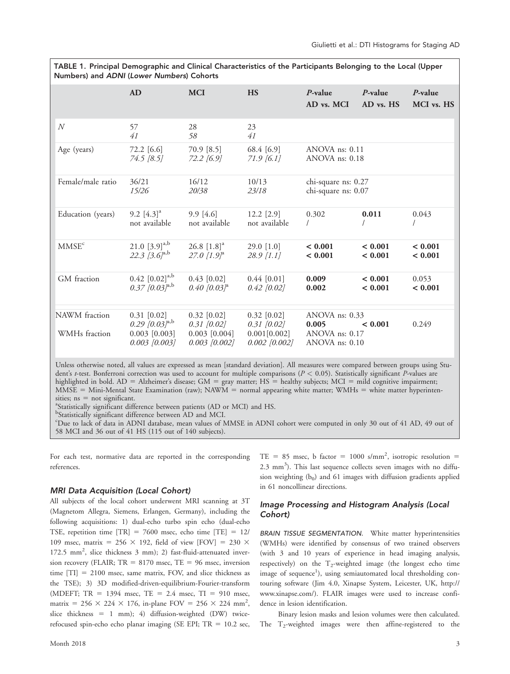TABLE 1. Principal Demographic and Clinical Characteristics of the Participants Belonging to the Local (Upper Numbers) and ADNI (Lower Numbers) Cohorts

|                                                                                                                          | AD                                                                                  | <b>MCI</b>                                                             | <b>HS</b>                                                            | $P$ -value<br>AD vs. MCI                                      | $P$ -value<br>AD vs. HS | $P$ -value<br>MCI vs. HS |
|--------------------------------------------------------------------------------------------------------------------------|-------------------------------------------------------------------------------------|------------------------------------------------------------------------|----------------------------------------------------------------------|---------------------------------------------------------------|-------------------------|--------------------------|
| $\,N$                                                                                                                    | 57<br>41                                                                            | 28<br>58                                                               | 23<br>41                                                             |                                                               |                         |                          |
| Age (years)                                                                                                              | 72.2 [6.6]<br>74.5 [8.5]                                                            | 70.9 [8.5]<br>72.2 [6.9]                                               | 68.4 [6.9]<br>$71.9\,[6.1]$                                          | ANOVA ns: 0.11<br>ANOVA ns: 0.18                              |                         |                          |
| Female/male ratio                                                                                                        | 36/21<br>15/26                                                                      | 16/12<br>20/38                                                         | 10/13<br>23/18                                                       | chi-square ns: 0.27<br>chi-square ns: 0.07                    |                         |                          |
| Education (years)                                                                                                        | 9.2 $[4.3]$ <sup>a</sup><br>not available                                           | $9.9$ [4.6]<br>not available                                           | $12.2$ [2.9]<br>not available                                        | 0.302                                                         | 0.011                   | 0.043                    |
| MMSE <sup>c</sup>                                                                                                        | 21.0 $[3.9]^{a,b}$<br>22.3 $[3.6]^{a,b}$                                            | $26.8$ [1.8] <sup>a</sup><br>27.0 $[1.9]$ <sup>a</sup>                 | 29.0 $[1.0]$<br>$28.9$ [1.1]                                         | < 0.001<br>< 0.001                                            | < 0.001<br>< 0.001      | ${}< 0.001$<br>< 0.001   |
| GM fraction                                                                                                              | $0.42$ [0.02] <sup>a,b</sup><br>$0.37$ [0.03] <sup>a,b</sup>                        | $0.43$ [0.02]<br>$0.40$ [0.03] <sup>a</sup>                            | $0.44$ [0.01]<br>$0.42$ [0.02]                                       | 0.009<br>0.002                                                | < 0.001<br>< 0.001      | 0.053<br>< 0.001         |
| NAWM fraction<br>WMHs fraction                                                                                           | $0.31$ [0.02]<br>$0.29$ [0.03] <sup>a,b</sup><br>$0.003$ [0.003]<br>$0.003$ [0.003] | $0.32$ $[0.02]$<br>$0.31$ [0.02]<br>$0.003$ [0.004]<br>$0.003$ [0.002] | $0.32$ [0.02]<br>$0.31 \; [0.02]$<br>0.001[0.002]<br>$0.002$ [0.002] | ANOVA ns: $0.33$<br>0.005<br>ANOVA ns: 0.17<br>ANOVA ns: 0.10 | ${}< 0.001$             | 0.249                    |
| Iblace experimented all volume are expressed as mass form dead deviation of All measures were compared between organized |                                                                                     |                                                                        |                                                                      |                                                               |                         |                          |

Unless otherwise noted, all values are expressed as mean [standard deviation]. All measures were compared between groups using Student's *t*-test. Bonferroni correction was used to account for multiple comparisons ( $P < 0.05$ ). Statistically significant *P*-values are highlighted in bold. AD = Alzheimer's disease; GM = gray matter; HS = healthy subjects; MCI = mild cognitive impairment;  $\overline{\text{MMSE}}$  = Mini-Mental State Examination (raw); NAW $\overline{M}$  = normal appearing white matter; WMHs = white matter hyperintensities;  $ns = not significant$ .

Statistically significant difference between patients (AD or MCI) and HS.

<sup>b</sup>Statistically significant difference between AD and MCI.

c Due to lack of data in ADNI database, mean values of MMSE in ADNI cohort were computed in only 30 out of 41 AD, 49 out of 58 MCI and 36 out of 41 HS (115 out of 140 subjects).

For each test, normative data are reported in the corresponding references.

### MRI Data Acquisition (Local Cohort)

All subjects of the local cohort underwent MRI scanning at 3T (Magnetom Allegra, Siemens, Erlangen, Germany), including the following acquisitions: 1) dual-echo turbo spin echo (dual-echo TSE, repetition time  $[TR] = 7600$  msec, echo time  $[TE] = 12/$ 109 msec, matrix = 256  $\times$  192, field of view [FOV] = 230  $\times$ 172.5 mm<sup>2</sup>, slice thickness 3 mm); 2) fast-fluid-attenuated inversion recovery (FLAIR;  $TR = 8170$  msec,  $TE = 96$  msec, inversion time  $[T1] = 2100$  msec, same matrix, FOV, and slice thickness as the TSE); 3) 3D modified-driven-equilibrium-Fourier-transform (MDEFT;  $TR = 1394$  msec,  $TE = 2.4$  msec,  $TI = 910$  msec, matrix =  $256 \times 224 \times 176$ , in-plane FOV =  $256 \times 224$  mm<sup>2</sup>, slice thickness = 1 mm); 4) diffusion-weighted (DW) twicerefocused spin-echo echo planar imaging (SE EPI;  $TR = 10.2$  sec,

TE = 85 msec, b factor = 1000 s/mm<sup>2</sup>, isotropic resolution = 2.3 mm<sup>3</sup>). This last sequence collects seven images with no diffusion weighting  $(b_0)$  and 61 images with diffusion gradients applied in 61 noncollinear directions.

## Image Processing and Histogram Analysis (Local Cohort)

BRAIN TISSUE SEGMENTATION. White matter hyperintensities (WMHs) were identified by consensus of two trained observers (with 3 and 10 years of experience in head imaging analysis, respectively) on the  $T_2$ -weighted image (the longest echo time image of sequence<sup>1</sup>), using semiautomated local thresholding contouring software (Jim 4.0, Xinapse System, Leicester, UK, [http://](http://www.xinapse.com/) [www.xinapse.com/](http://www.xinapse.com/)). FLAIR images were used to increase confidence in lesion identification.

Binary lesion masks and lesion volumes were then calculated. The  $T_2$ -weighted images were then affine-registered to the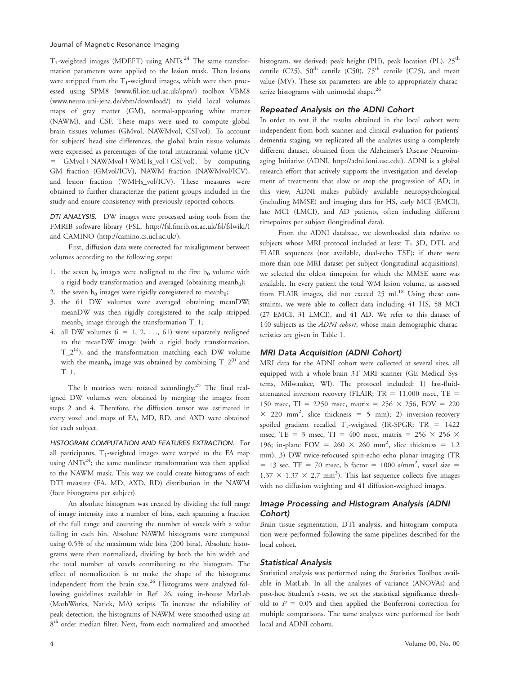$T_1$ -weighted images (MDEFT) using ANTs.<sup>24</sup> The same transformation parameters were applied to the lesion mask. Then lesions were stripped from the  $T_1$ -weighted images, which were then processed using SPM8 ([www.fil.ion.ucl.ac.uk/spm/\)](http://www.fil.ion.ucl.ac.uk/spm/) toolbox VBM8 ([www.neuro.uni-jena.de/vbm/download/](http://www.neuro.uni-jena.de/vbm/download/)) to yield local volumes maps of gray matter (GM), normal-appearing white matter (NAWM), and CSF. These maps were used to compute global brain tissues volumes (GMvol, NAWMvol, CSFvol). To account for subjects' head size differences, the global brain tissue volumes were expressed as percentages of the total intracranial volume (ICV  $GMvol+NAWMvol+WMHs_vol+CSFvol)$ , by computing GM fraction (GMvol/ICV), NAWM fraction (NAWMvol/ICV), and lesion fraction (WMHs\_vol/ICV). These measures were obtained to further characterize the patient groups included in the study and ensure consistency with previously reported cohorts.

DTI ANALYSIS. DW images were processed using tools from the FMRIB software library (FSL,<http://fsl.fmrib.ox.ac.uk/fsl/fslwiki/>) and CAMINO [\(http://camino.cs.ucl.ac.uk/](http://camino.cs.ucl.ac.uk/)).

First, diffusion data were corrected for misalignment between volumes according to the following steps:

- 1. the seven  $b_0$  images were realigned to the first  $b_0$  volume with a rigid body transformation and averaged (obtaining meanb $_0$ );
- 2. the seven  $b_0$  images were rigidly coregistered to meanb<sub>0</sub>;
- 3. the 61 DW volumes were averaged obtaining meanDW; meanDW was then rigidly coregistered to the scalp stripped meanb<sub>0</sub> image through the transformation  $T_1$ ;
- 4. all DW volumes  $(i = 1, 2, ..., 61)$  were separately realigned to the meanDW image (with a rigid body transformation,  $T_2^{(i)}$ ), and the transformation matching each DW volume with the meanb<sub>0</sub> image was obtained by combining  $T_2^{(i)}$  and  $T_{-1}$ .

The b matrices were rotated accordingly.<sup>25</sup> The final realigned DW volumes were obtained by merging the images from steps 2 and 4. Therefore, the diffusion tensor was estimated in every voxel and maps of FA, MD, RD, and AXD were obtained for each subject.

HISTOGRAM COMPUTATION AND FEATURES EXTRACTION. For all participants,  $T_1$ -weighted images were warped to the FA map using  $ANTs^{24}$ ; the same nonlinear transformation was then applied to the NAWM mask. This way we could create histograms of each DTI measure (FA, MD, AXD, RD) distribution in the NAWM (four histograms per subject).

An absolute histogram was created by dividing the full range of image intensity into a number of bins, each spanning a fraction of the full range and counting the number of voxels with a value falling in each bin. Absolute NAWM histograms were computed using 0.5% of the maximum wide bins (200 bins). Absolute histograms were then normalized, dividing by both the bin width and the total number of voxels contributing to the histogram. The effect of normalization is to make the shape of the histograms independent from the brain size.<sup>26</sup> Histograms were analyzed following guidelines available in Ref. 26, using in-house MatLab (MathWorks, Natick, MA) scripts. To increase the reliability of peak detection, the histograms of NAWM were smoothed using an 8<sup>th</sup> order median filter. Next, from each normalized and smoothed histogram, we derived: peak height (PH), peak location (PL), 25<sup>th</sup> centile (C25),  $50^{\text{th}}$  centile (C50),  $75^{\text{th}}$  centile (C75), and mean value (MV). These six parameters are able to appropriately characterize histograms with unimodal shape.<sup>26</sup>

### Repeated Analysis on the ADNI Cohort

In order to test if the results obtained in the local cohort were independent from both scanner and clinical evaluation for patients' dementia staging, we replicated all the analyses using a completely different dataset, obtained from the Alzheimer's Disease Neuroimaging Initiative (ADNI,<http://adni.loni.usc.edu>). ADNI is a global research effort that actively supports the investigation and development of treatments that slow or stop the progression of AD; in this view, ADNI makes publicly available neuropsychological (including MMSE) and imaging data for HS, early MCI (EMCI), late MCI (LMCI), and AD patients, often including different timepoints per subject (longitudinal data).

From the ADNI database, we downloaded data relative to subjects whose MRI protocol included at least  $T_1$  3D, DTI, and FLAIR sequences (not available, dual-echo TSE); if there were more than one MRI dataset per subject (longitudinal acquisitions), we selected the oldest timepoint for which the MMSE score was available. In every patient the total WM lesion volume, as assessed from FLAIR images, did not exceed  $25 \text{ ml.}^{18}$  Using these constraints, we were able to collect data including 41 HS, 58 MCI (27 EMCI, 31 LMCI), and 41 AD. We refer to this dataset of 140 subjects as the ADNI cohort, whose main demographic characteristics are given in Table 1.

## MRI Data Acquisition (ADNI Cohort)

MRI data for the ADNI cohort were collected at several sites, all equipped with a whole-brain 3T MRI scanner (GE Medical Systems, Milwaukee, WI). The protocol included: 1) fast-fluidattenuated inversion recovery (FLAIR;  $TR = 11,000$  msec,  $TE =$ 150 msec, TI = 2250 msec, matrix =  $256 \times 256$ , FOV = 220  $\times$  220 mm<sup>2</sup>, slice thickness = 5 mm); 2) inversion-recovery spoiled gradient recalled  $T_1$ -weighted (IR-SPGR; TR = 1422 msec, TE = 3 msec, TI = 400 msec, matrix =  $256 \times 256 \times$ 196; in-plane FOV =  $260 \times 260$  mm<sup>2</sup>, slice thickness = 1.2 mm); 3) DW twice-refocused spin-echo echo planar imaging (TR  $=$  13 sec, TE = 70 msec, b factor = 1000 s/mm<sup>2</sup>, voxel size =  $1.37 \times 1.37 \times 2.7$  mm<sup>3</sup>). This last sequence collects five images with no diffusion weighting and 41 diffusion-weighted images.

## Image Processing and Histogram Analysis (ADNI Cohort)

Brain tissue segmentation, DTI analysis, and histogram computation were performed following the same pipelines described for the local cohort.

## Statistical Analysis

Statistical analysis was performed using the Statistics Toolbox available in MatLab. In all the analyses of variance (ANOVAs) and post-hoc Student's t-tests, we set the statistical significance threshold to  $P = 0.05$  and then applied the Bonferroni correction for multiple comparisons. The same analyses were performed for both local and ADNI cohorts.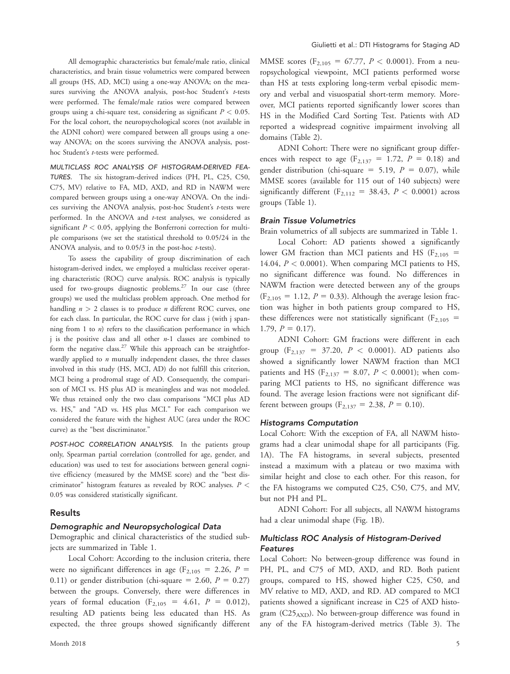All demographic characteristics but female/male ratio, clinical characteristics, and brain tissue volumetrics were compared between all groups (HS, AD, MCI) using a one-way ANOVA; on the measures surviving the ANOVA analysis, post-hoc Student's t-tests were performed. The female/male ratios were compared between groups using a chi-square test, considering as significant  $P < 0.05$ . For the local cohort, the neuropsychological scores (not available in the ADNI cohort) were compared between all groups using a oneway ANOVA; on the scores surviving the ANOVA analysis, posthoc Student's t-tests were performed.

MULTICLASS ROC ANALYSIS OF HISTOGRAM-DERIVED FEA-TURES. The six histogram-derived indices (PH, PL, C25, C50, C75, MV) relative to FA, MD, AXD, and RD in NAWM were compared between groups using a one-way ANOVA. On the indices surviving the ANOVA analysis, post-hoc Student's t-tests were performed. In the ANOVA and t-test analyses, we considered as significant  $P < 0.05$ , applying the Bonferroni correction for multiple comparisons (we set the statistical threshold to 0.05/24 in the ANOVA analysis, and to 0.05/3 in the post-hoc t-tests).

To assess the capability of group discrimination of each histogram-derived index, we employed a multiclass receiver operating characteristic (ROC) curve analysis. ROC analysis is typically used for two-groups diagnostic problems.<sup>27</sup> In our case (three groups) we used the multiclass problem approach. One method for handling  $n > 2$  classes is to produce *n* different ROC curves, one for each class. In particular, the ROC curve for class j (with j spanning from  $1$  to  $n$ ) refers to the classification performance in which j is the positive class and all other  $n-1$  classes are combined to form the negative class.<sup>27</sup> While this approach can be straightforwardly applied to  $n$  mutually independent classes, the three classes involved in this study (HS, MCI, AD) do not fulfill this criterion, MCI being a prodromal stage of AD. Consequently, the comparison of MCI vs. HS plus AD is meaningless and was not modeled. We thus retained only the two class comparisons "MCI plus AD vs. HS," and "AD vs. HS plus MCI." For each comparison we considered the feature with the highest AUC (area under the ROC curve) as the "best discriminator."

POST-HOC CORRELATION ANALYSIS. In the patients group only, Spearman partial correlation (controlled for age, gender, and education) was used to test for associations between general cognitive efficiency (measured by the MMSE score) and the "best discriminator" histogram features as revealed by ROC analyses.  $P$  < 0.05 was considered statistically significant.

## Results

## Demographic and Neuropsychological Data

Demographic and clinical characteristics of the studied subjects are summarized in Table 1.

Local Cohort: According to the inclusion criteria, there were no significant differences in age ( $F_{2,105} = 2.26$ ,  $P =$ 0.11) or gender distribution (chi-square = 2.60,  $P = 0.27$ ) between the groups. Conversely, there were differences in years of formal education ( $F_{2,105} = 4.61$ ,  $P = 0.012$ ), resulting AD patients being less educated than HS. As expected, the three groups showed significantly different MMSE scores ( $F_{2,105} = 67.77$ ,  $P < 0.0001$ ). From a neuropsychological viewpoint, MCI patients performed worse than HS at tests exploring long-term verbal episodic memory and verbal and visuospatial short-term memory. Moreover, MCI patients reported significantly lower scores than HS in the Modified Card Sorting Test. Patients with AD reported a widespread cognitive impairment involving all domains (Table 2).

ADNI Cohort: There were no significant group differences with respect to age  $(F_{2,137} = 1.72, P = 0.18)$  and gender distribution (chi-square = 5.19,  $P = 0.07$ ), while MMSE scores (available for 115 out of 140 subjects) were significantly different ( $F_{2,112} = 38.43$ ,  $P < 0.0001$ ) across groups (Table 1).

#### Brain Tissue Volumetrics

Brain volumetrics of all subjects are summarized in Table 1.

Local Cohort: AD patients showed a significantly lower GM fraction than MCI patients and HS ( $F_{2,105}$  = 14.04,  $P < 0.0001$ ). When comparing MCI patients to HS, no significant difference was found. No differences in NAWM fraction were detected between any of the groups  $(F_{2,105} = 1.12, P = 0.33)$ . Although the average lesion fraction was higher in both patients group compared to HS, these differences were not statistically significant ( $F_{2,105}$  = 1.79,  $P = 0.17$ .

ADNI Cohort: GM fractions were different in each group ( $F_{2,137} = 37.20$ ,  $P < 0.0001$ ). AD patients also showed a significantly lower NAWM fraction than MCI patients and HS ( $F_{2,137} = 8.07$ ,  $P < 0.0001$ ); when comparing MCI patients to HS, no significant difference was found. The average lesion fractions were not significant different between groups ( $F_{2,137} = 2.38$ ,  $P = 0.10$ ).

#### Histograms Computation

Local Cohort: With the exception of FA, all NAWM histograms had a clear unimodal shape for all participants (Fig. 1A). The FA histograms, in several subjects, presented instead a maximum with a plateau or two maxima with similar height and close to each other. For this reason, for the FA histograms we computed C25, C50, C75, and MV, but not PH and PL.

ADNI Cohort: For all subjects, all NAWM histograms had a clear unimodal shape (Fig. 1B).

## Multiclass ROC Analysis of Histogram-Derived Features

Local Cohort: No between-group difference was found in PH, PL, and C75 of MD, AXD, and RD. Both patient groups, compared to HS, showed higher C25, C50, and MV relative to MD, AXD, and RD. AD compared to MCI patients showed a significant increase in C25 of AXD histogram  $(C25_{AND})$ . No between-group difference was found in any of the FA histogram-derived metrics (Table 3). The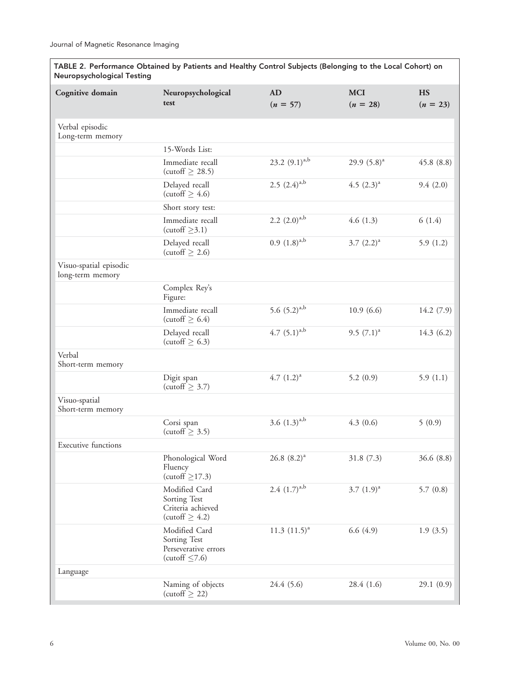| TABLE 2. Performance Obtained by Patients and Healthy Control Subjects (Belonging to the Local Conort) on<br><b>Neuropsychological Testing</b> |                                                                              |                         |                          |                         |  |
|------------------------------------------------------------------------------------------------------------------------------------------------|------------------------------------------------------------------------------|-------------------------|--------------------------|-------------------------|--|
| Cognitive domain                                                                                                                               | Neuropsychological<br>test                                                   | <b>AD</b><br>$(n = 57)$ | <b>MCI</b><br>$(n = 28)$ | <b>HS</b><br>$(n = 23)$ |  |
| Verbal episodic<br>Long-term memory                                                                                                            |                                                                              |                         |                          |                         |  |
|                                                                                                                                                | 15-Words List:                                                               |                         |                          |                         |  |
|                                                                                                                                                | Immediate recall<br>(cutoff $\geq$ 28.5)                                     | 23.2 $(9.1)^{a,b}$      | 29.9 $(5.8)^a$           | 45.8(8.8)               |  |
|                                                                                                                                                | Delayed recall<br>(cutoff $\geq 4.6$ )                                       | 2.5 $(2.4)^{a,b}$       | 4.5 $(2.3)^a$            | 9.4(2.0)                |  |
|                                                                                                                                                | Short story test:                                                            |                         |                          |                         |  |
|                                                                                                                                                | Immediate recall<br>(cutoff $\geq$ 3.1)                                      | 2.2 $(2.0)^{a,b}$       | 4.6(1.3)                 | 6(1.4)                  |  |
|                                                                                                                                                | Delayed recall<br>(cutoff $\geq$ 2.6)                                        | $0.9(1.8)^{a,b}$        | $3.7 (2.2)^a$            | 5.9(1.2)                |  |
| Visuo-spatial episodic<br>long-term memory                                                                                                     |                                                                              |                         |                          |                         |  |
|                                                                                                                                                | Complex Rey's<br>Figure:                                                     |                         |                          |                         |  |
|                                                                                                                                                | Immediate recall<br>(cutoff $\geq$ 6.4)                                      | 5.6 $(5.2)^{a,b}$       | 10.9(6.6)                | 14.2(7.9)               |  |
|                                                                                                                                                | Delayed recall<br>(cutoff $\geq$ 6.3)                                        | 4.7 $(5.1)^{a,b}$       | 9.5 $(7.1)^a$            | 14.3(6.2)               |  |
| Verbal<br>Short-term memory                                                                                                                    |                                                                              |                         |                          |                         |  |
|                                                                                                                                                | Digit span<br>(cutoff $\geq$ 3.7)                                            | 4.7 $(1.2)^a$           | 5.2(0.9)                 | 5.9(1.1)                |  |
| Visuo-spatial<br>Short-term memory                                                                                                             |                                                                              |                         |                          |                         |  |
|                                                                                                                                                | Corsi span<br>(cutoff $\geq$ 3.5)                                            | 3.6 $(1.3)^{a,b}$       | 4.3(0.6)                 | 5(0.9)                  |  |
| <b>Executive functions</b>                                                                                                                     |                                                                              |                         |                          |                         |  |
|                                                                                                                                                | Phonological Word<br>Fluency<br>(cutoff $\geq$ 17.3)                         | $26.8~(8.2)^a$          | 31.8(7.3)                | 36.6(8.8)               |  |
|                                                                                                                                                | Modified Card<br>Sorting Test<br>Criteria achieved<br>(cutoff $\geq 4.2$ )   | 2.4 $(1.7)^{a,b}$       | 3.7 $(1.9)^a$            | 5.7(0.8)                |  |
|                                                                                                                                                | Modified Card<br>Sorting Test<br>Perseverative errors<br>(cutoff $\leq$ 7.6) | 11.3 $(11.5)^a$         | 6.6(4.9)                 | 1.9(3.5)                |  |
| Language                                                                                                                                       |                                                                              |                         |                          |                         |  |
|                                                                                                                                                | Naming of objects<br>(cutoff $\geq$ 22)                                      | 24.4 (5.6)              | 28.4 (1.6)               | 29.1(0.9)               |  |

TABLE 2. Performance Obtained by Patients and Healthy Control Subjects (Belonging to the Local Cohort)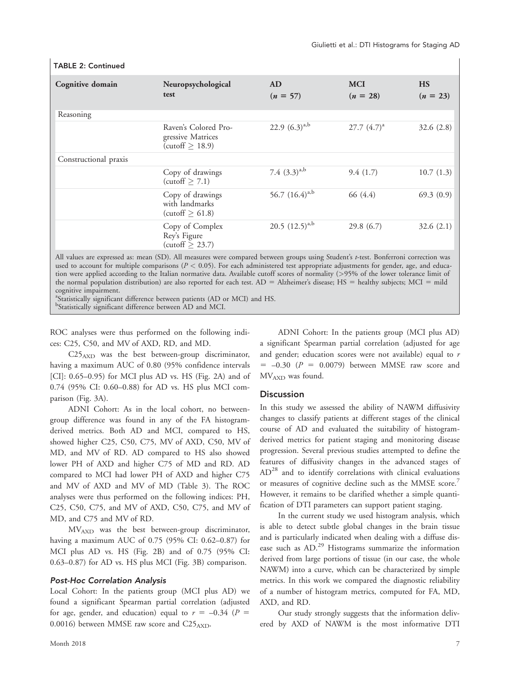| Cognitive domain      | Neuropsychological<br>test                                               | <b>AD</b><br>$(n = 57)$ | <b>MCI</b><br>$(n = 28)$ | <b>HS</b><br>$(n = 23)$ |
|-----------------------|--------------------------------------------------------------------------|-------------------------|--------------------------|-------------------------|
| Reasoning             |                                                                          |                         |                          |                         |
|                       | Raven's Colored Pro-<br>gressive Matrices<br>$\text{(cutoff)} \geq 18.9$ | 22.9 $(6.3)^{a,b}$      | $27.7~(4.7)^{a}$         | 32.6(2.8)               |
| Constructional praxis |                                                                          |                         |                          |                         |
|                       | Copy of drawings<br>(cutoff $\geq$ 7.1)                                  | 7.4 $(3.3)^{a,b}$       | 9.4(1.7)                 | 10.7(1.3)               |
|                       | Copy of drawings<br>with landmarks<br>(cutoff $\geq 61.8$ )              | 56.7 $(16.4)^{a,b}$     | 66 (4.4)                 | 69.3(0.9)               |
|                       | Copy of Complex<br>Rey's Figure<br>(cutoff $\geq$ 23.7)                  | 20.5 $(12.5)^{a,b}$     | 29.8(6.7)                | 32.6(2.1)               |

## TABLE 2: Continued

All values are expressed as: mean (SD). All measures were compared between groups using Student's t-test. Bonferroni correction was used to account for multiple comparisons ( $P < 0.05$ ). For each administered test appropriate adjustments for gender, age, and education were applied according to the Italian normative data. Available cutoff scores of normality (>95% of the lower tolerance limit of the normal population distribution) are also reported for each test.  $AD =$  Alzheimer's disease;  $HS =$  healthy subjects;  $MCI =$  mild cognitive impairment.

<sup>a</sup>Statistically significant difference between patients (AD or MCI) and HS.

<sup>b</sup>Statistically significant difference between AD and MCI.

ROC analyses were thus performed on the following indices: C25, C50, and MV of AXD, RD, and MD.

 $C25_{\rm AND}$  was the best between-group discriminator, having a maximum AUC of 0.80 (95% confidence intervals [CI]: 0.65–0.95) for MCI plus AD vs. HS (Fig. 2A) and of 0.74 (95% CI: 0.60–0.88) for AD vs. HS plus MCI comparison (Fig. 3A).

ADNI Cohort: As in the local cohort, no betweengroup difference was found in any of the FA histogramderived metrics. Both AD and MCI, compared to HS, showed higher C25, C50, C75, MV of AXD, C50, MV of MD, and MV of RD. AD compared to HS also showed lower PH of AXD and higher C75 of MD and RD. AD compared to MCI had lower PH of AXD and higher C75 and MV of AXD and MV of MD (Table 3). The ROC analyses were thus performed on the following indices: PH, C25, C50, C75, and MV of AXD, C50, C75, and MV of MD, and C75 and MV of RD.

MVAXD was the best between-group discriminator, having a maximum AUC of 0.75 (95% CI: 0.62–0.87) for MCI plus AD vs. HS (Fig. 2B) and of 0.75 (95% CI: 0.63–0.87) for AD vs. HS plus MCI (Fig. 3B) comparison.

### Post-Hoc Correlation Analysis

Local Cohort: In the patients group (MCI plus AD) we found a significant Spearman partial correlation (adjusted for age, gender, and education) equal to  $r = -0.34$  ( $P =$ 0.0016) between MMSE raw score and C25<sub>AXD</sub>.

ADNI Cohort: In the patients group (MCI plus AD) a significant Spearman partial correlation (adjusted for age and gender; education scores were not available) equal to  $r$  $= -0.30$   $(P = 0.0079)$  between MMSE raw score and MVAXD was found.

## **Discussion**

In this study we assessed the ability of NAWM diffusivity changes to classify patients at different stages of the clinical course of AD and evaluated the suitability of histogramderived metrics for patient staging and monitoring disease progression. Several previous studies attempted to define the features of diffusivity changes in the advanced stages of AD<sup>28</sup> and to identify correlations with clinical evaluations or measures of cognitive decline such as the MMSE score.<sup>7</sup> However, it remains to be clarified whether a simple quantification of DTI parameters can support patient staging.

In the current study we used histogram analysis, which is able to detect subtle global changes in the brain tissue and is particularly indicated when dealing with a diffuse disease such as AD.<sup>29</sup> Histograms summarize the information derived from large portions of tissue (in our case, the whole NAWM) into a curve, which can be characterized by simple metrics. In this work we compared the diagnostic reliability of a number of histogram metrics, computed for FA, MD, AXD, and RD.

Our study strongly suggests that the information delivered by AXD of NAWM is the most informative DTI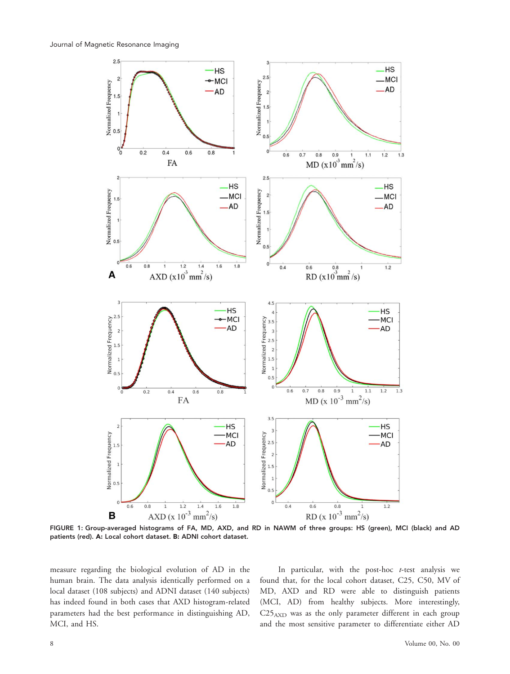

FIGURE 1: Group-averaged histograms of FA, MD, AXD, and RD in NAWM of three groups: HS (green), MCI (black) and AD patients (red). A: Local cohort dataset. B: ADNI cohort dataset.

measure regarding the biological evolution of AD in the human brain. The data analysis identically performed on a local dataset (108 subjects) and ADNI dataset (140 subjects) has indeed found in both cases that AXD histogram-related parameters had the best performance in distinguishing AD, MCI, and HS.

In particular, with the post-hoc  $t$ -test analysis we found that, for the local cohort dataset, C25, C50, MV of MD, AXD and RD were able to distinguish patients (MCI, AD) from healthy subjects. More interestingly, C25AXD was as the only parameter different in each group and the most sensitive parameter to differentiate either AD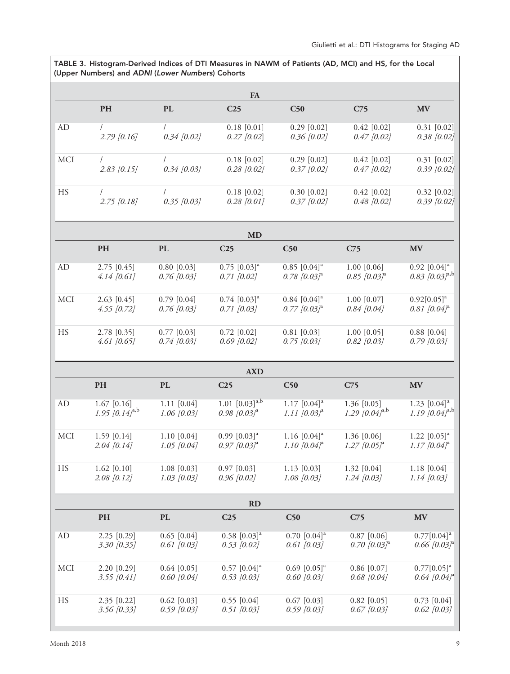# TABLE 3. Histogram-Derived Indices of DTI Measures in NAWM of Patients (AD, MCI) and HS, for the Local (Upper Numbers) and ADNI (Lower Numbers) Cohorts

|            |                                      |                                | <b>FA</b>                                                  |                                                          |                                                 |                                                             |
|------------|--------------------------------------|--------------------------------|------------------------------------------------------------|----------------------------------------------------------|-------------------------------------------------|-------------------------------------------------------------|
|            | PH                                   | PL                             | C <sub>25</sub>                                            | C50                                                      | C <sub>75</sub>                                 | <b>MV</b>                                                   |
| AD         | $2.79$ [0.16]                        | $0.34$ [0.02]                  | $0.18$ [0.01]<br>$0.27$ [0.02]                             | $0.29$ [0.02]<br>$0.36$ [0.02]                           | $0.42$ [0.02]<br>$0.47$ [0.02]                  | $0.31$ [0.02]<br>$0.38$ [0.02]                              |
| <b>MCI</b> | $\sqrt{2}$<br>$2.83$ [0.15]          | $0.34$ [0.03]                  | $0.18$ [0.02]<br>$0.28$ [0.02]                             | $0.29$ [0.02]<br>$0.37$ [0.02]                           | $0.42$ [0.02]<br>$0.47$ [0.02]                  | $0.31$ [0.02]<br>$0.39$ [0.02]                              |
| HS         | $2.75$ [0.18]                        | $0.35$ [0.03]                  | $0.18$ [0.02]<br>$0.28$ [0.01]                             | $0.30$ [0.02]<br>$0.37$ [0.02]                           | $0.42$ [0.02]<br>$0.48$ [0.02]                  | $0.32$ [0.02]<br>$0.39$ [0.02]                              |
|            |                                      |                                | <b>MD</b>                                                  |                                                          |                                                 |                                                             |
|            | PH                                   | <b>PL</b>                      | C <sub>25</sub>                                            | C50                                                      | C <sub>75</sub>                                 | MV                                                          |
| AD         | $2.75$ [0.45]<br>$4.14$ [0.61]       | $0.80$ [0.03]<br>$0.76$ [0.03] | $0.75$ $[0.03]$ <sup>a</sup><br>$0.71$ [0.02]              | $0.85$ [0.04] <sup>a</sup><br>$0.78$ [0.03] <sup>a</sup> | $1.00$ [0.06]<br>$0.85$ [0.03] <sup>a</sup>     | $0.92$ $[0.04]$ <sup>a</sup><br>0.83 $[0.03]^{a,b}$         |
| <b>MCI</b> | $2.63$ [0.45]<br>$4.55$ [0.72]       | $0.79$ [0.04]<br>$0.76$ [0.03] | $0.74$ [0.03] <sup>a</sup><br>$0.71$ [0.03]                | $0.84$ [0.04] <sup>a</sup><br>$0.77$ [0.03] <sup>a</sup> | $1.00$ [0.07]<br>$0.84$ [0.04]                  | $0.92[0.05]$ <sup>a</sup><br>$0.81$ [0.04] <sup>a</sup>     |
| HS         | 2.78 [0.35]<br>$4.61$ [0.65]         | $0.77$ [0.03]<br>$0.74$ [0.03] | $0.72$ [0.02]<br>$0.69$ [0.02]                             | $0.81$ [0.03]<br>$0.75$ [0.03]                           | $1.00$ [0.05]<br>$0.82$ [0.03]                  | $0.88$ [0.04]<br>$0.79$ [0.03]                              |
|            |                                      |                                | <b>AXD</b>                                                 |                                                          |                                                 |                                                             |
|            | <b>PH</b>                            | <b>PL</b>                      | C <sub>25</sub>                                            | C50                                                      | C <sub>75</sub>                                 | <b>MV</b>                                                   |
| AD         | $1.67$ [0.16]<br>1.95 $[0.14]^{a,b}$ | $1.11$ [0.04]<br>$1.06$ [0.03] | 1.01 $[0.03]^{a,b}$<br>$0.98$ [ $0.03$ ] <sup>a</sup>      | $1.17$ $[0.04]$ <sup>a</sup><br>1.11 $[0.03]^a$          | 1.36 [0.05]<br>1.29 [0.04] <sup>a,b</sup>       | 1.23 $[0.04]$ <sup>a</sup><br>1.19 $[0.04]^{a,b}$           |
| <b>MCI</b> | $1.59$ [0.14]<br>$2.04$ [0.14]       | 1.10 [0.04]<br>$1.05$ [0.04]   | $0.99$ $[0.03]$ <sup>a</sup><br>$0.97$ [0.03] <sup>a</sup> | 1.16 $[0.04]$ <sup>a</sup><br>1.10 $[0.04]^a$            | 1.36 [0.06]<br>$1.27$ [0.05] <sup>a</sup>       | 1.22 $[0.05]$ <sup>a</sup><br>$1.17$ [0.04] <sup>a</sup>    |
| HS         | $1.62$ [0.10]<br>$2.08$ [0.12]       | 1.08 [0.03]<br>$1.03$ [0.03]   | $0.97$ [0.03]<br>$0.96$ [0.02]                             | $1.13$ [0.03]<br>$1.08$ [0.03]                           | 1.32 [0.04]<br>$1.24$ [0.03]                    | $1.18$ [0.04]<br>$1.14$ [0.03]                              |
|            |                                      |                                | RD                                                         |                                                          |                                                 |                                                             |
|            | PH                                   | <b>PL</b>                      | C <sub>25</sub>                                            | C50                                                      | C <sub>75</sub>                                 | $\mathbf{M}\mathbf{V}$                                      |
| AD         | 2.25 [0.29]<br>3.30 [0.35]           | $0.65$ [0.04]<br>$0.61$ [0.03] | $0.58$ [0.03] <sup>a</sup><br>$0.53$ [0.02]                | $0.70$ $[0.04]$ <sup>a</sup><br>$0.61$ [0.03]            | $0.87$ [0.06]<br>$0.70$ [ $0.03$ ] <sup>a</sup> | $0.77[0.04]$ <sup>a</sup><br>$0.66$ [ $0.03$ ] <sup>a</sup> |
| <b>MCI</b> | 2.20 [0.29]<br>$3.55$ [0.41]         | $0.64$ [0.05]<br>$0.60$ [0.04] | $0.57$ [0.04] <sup>a</sup><br>$0.53$ [0.03]                | $0.69$ $[0.05]$ <sup>a</sup><br>$0.60$ [0.03]            | $0.86$ [0.07]<br>$0.68$ [0.04]                  | $0.77[0.05]^a$<br>$0.64$ [0.04] <sup>a</sup>                |
| HS         | $2.35$ [0.22]<br>$3.56$ [0.33]       | $0.62$ [0.03]<br>$0.59$ [0.03] | $0.55$ [0.04]<br>$0.51$ [0.03]                             | $0.67$ [0.03]<br>$0.59$ [0.03]                           | $0.82$ [0.05]<br>$0.67$ [0.03]                  | $0.73$ [0.04]<br>$0.62$ [0.03]                              |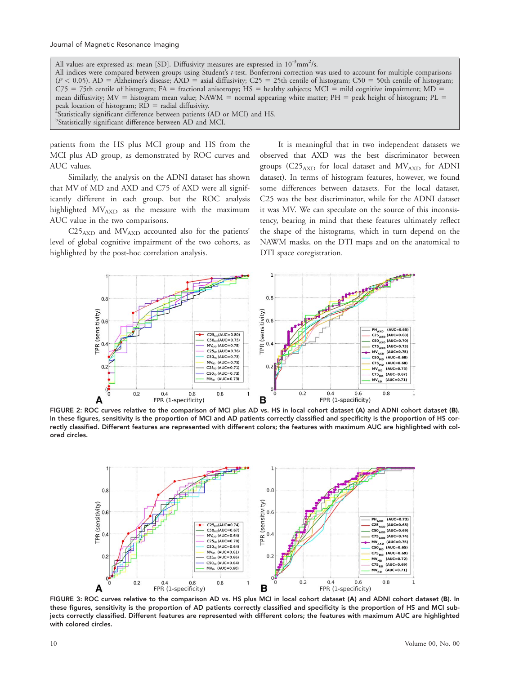All values are expressed as: mean [SD]. Diffusivity measures are expressed in  $10^{-3}$ mm<sup>2</sup>/s. All indices were compared between groups using Student's t-test. Bonferroni correction was used to account for multiple comparisons  $(P < 0.05)$ . AD = Alzheimer's disease; AXD = axial diffusivity; C25 = 25th centile of histogram; C50 = 50th centile of histogram;  $C75 = 75$ th centile of histogram; FA = fractional anisotropy; HS = healthy subjects; MCI = mild cognitive impairment; MD = mean diffusivity;  $MV =$  histogram mean value; NAWM = normal appearing white matter;  $PH =$  peak height of histogram; PL = peak location of histogram;  $R\bar{D}$  = radial diffusivity. Statistically significant difference between patients (AD or MCI) and HS. <sup>b</sup>Statistically significant difference between AD and MCI.

patients from the HS plus MCI group and HS from the MCI plus AD group, as demonstrated by ROC curves and AUC values.

Similarly, the analysis on the ADNI dataset has shown that MV of MD and AXD and C75 of AXD were all significantly different in each group, but the ROC analysis highlighted  $MV<sub>AXD</sub>$  as the measure with the maximum AUC value in the two comparisons.

 $C25_{\rm AXD}$  and  $MV_{\rm AXD}$  accounted also for the patients' level of global cognitive impairment of the two cohorts, as highlighted by the post-hoc correlation analysis.

It is meaningful that in two independent datasets we observed that AXD was the best discriminator between groups (C25<sub>AXD</sub> for local dataset and MV<sub>AXD</sub> for ADNI dataset). In terms of histogram features, however, we found some differences between datasets. For the local dataset, C25 was the best discriminator, while for the ADNI dataset it was MV. We can speculate on the source of this inconsistency, bearing in mind that these features ultimately reflect the shape of the histograms, which in turn depend on the NAWM masks, on the DTI maps and on the anatomical to DTI space coregistration.



FIGURE 2: ROC curves relative to the comparison of MCI plus AD vs. HS in local cohort dataset (A) and ADNI cohort dataset (B). In these figures, sensitivity is the proportion of MCI and AD patients correctly classified and specificity is the proportion of HS correctly classified. Different features are represented with different colors; the features with maximum AUC are highlighted with colored circles.



FIGURE 3: ROC curves relative to the comparison AD vs. HS plus MCI in local cohort dataset (A) and ADNI cohort dataset (B). In these figures, sensitivity is the proportion of AD patients correctly classified and specificity is the proportion of HS and MCI subjects correctly classified. Different features are represented with different colors; the features with maximum AUC are highlighted with colored circles.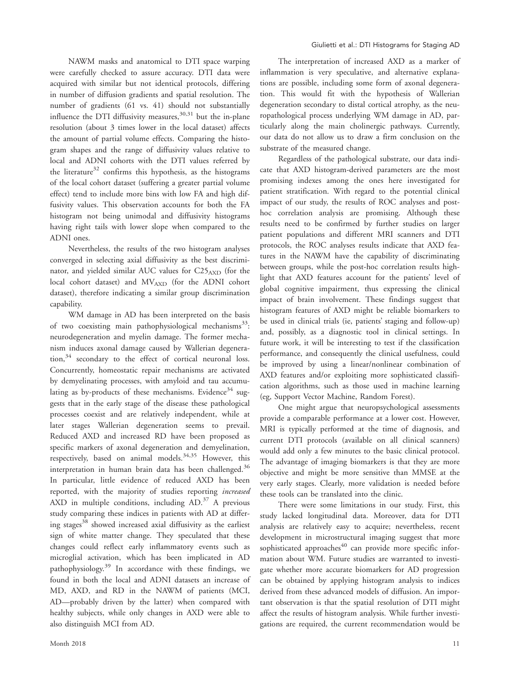NAWM masks and anatomical to DTI space warping were carefully checked to assure accuracy. DTI data were acquired with similar but not identical protocols, differing in number of diffusion gradients and spatial resolution. The number of gradients (61 vs. 41) should not substantially influence the DTI diffusivity measures,  $30,31$  but the in-plane resolution (about 3 times lower in the local dataset) affects the amount of partial volume effects. Comparing the histogram shapes and the range of diffusivity values relative to local and ADNI cohorts with the DTI values referred by the literature<sup>32</sup> confirms this hypothesis, as the histograms of the local cohort dataset (suffering a greater partial volume effect) tend to include more bins with low FA and high diffusivity values. This observation accounts for both the FA histogram not being unimodal and diffusivity histograms having right tails with lower slope when compared to the ADNI ones.

Nevertheless, the results of the two histogram analyses converged in selecting axial diffusivity as the best discriminator, and yielded similar AUC values for C25AXD (for the local cohort dataset) and MVAXD (for the ADNI cohort dataset), therefore indicating a similar group discrimination capability.

WM damage in AD has been interpreted on the basis of two coexisting main pathophysiological mechanisms<sup>33</sup>: neurodegeneration and myelin damage. The former mechanism induces axonal damage caused by Wallerian degeneration,<sup>34</sup> secondary to the effect of cortical neuronal loss. Concurrently, homeostatic repair mechanisms are activated by demyelinating processes, with amyloid and tau accumulating as by-products of these mechanisms. Evidence<sup>34</sup> suggests that in the early stage of the disease these pathological processes coexist and are relatively independent, while at later stages Wallerian degeneration seems to prevail. Reduced AXD and increased RD have been proposed as specific markers of axonal degeneration and demyelination, respectively, based on animal models.<sup>34,35</sup> However, this interpretation in human brain data has been challenged. $36$ In particular, little evidence of reduced AXD has been reported, with the majority of studies reporting increased AXD in multiple conditions, including  $AD<sup>37</sup>$  A previous study comparing these indices in patients with AD at differing stages<sup>38</sup> showed increased axial diffusivity as the earliest sign of white matter change. They speculated that these changes could reflect early inflammatory events such as microglial activation, which has been implicated in AD pathophysiology.<sup>39</sup> In accordance with these findings, we found in both the local and ADNI datasets an increase of MD, AXD, and RD in the NAWM of patients (MCI, AD—probably driven by the latter) when compared with healthy subjects, while only changes in AXD were able to also distinguish MCI from AD.

The interpretation of increased AXD as a marker of inflammation is very speculative, and alternative explanations are possible, including some form of axonal degeneration. This would fit with the hypothesis of Wallerian degeneration secondary to distal cortical atrophy, as the neuropathological process underlying WM damage in AD, particularly along the main cholinergic pathways. Currently, our data do not allow us to draw a firm conclusion on the substrate of the measured change.

Regardless of the pathological substrate, our data indicate that AXD histogram-derived parameters are the most promising indexes among the ones here investigated for patient stratification. With regard to the potential clinical impact of our study, the results of ROC analyses and posthoc correlation analysis are promising. Although these results need to be confirmed by further studies on larger patient populations and different MRI scanners and DTI protocols, the ROC analyses results indicate that AXD features in the NAWM have the capability of discriminating between groups, while the post-hoc correlation results highlight that AXD features account for the patients' level of global cognitive impairment, thus expressing the clinical impact of brain involvement. These findings suggest that histogram features of AXD might be reliable biomarkers to be used in clinical trials (ie, patients' staging and follow-up) and, possibly, as a diagnostic tool in clinical settings. In future work, it will be interesting to test if the classification performance, and consequently the clinical usefulness, could be improved by using a linear/nonlinear combination of AXD features and/or exploiting more sophisticated classification algorithms, such as those used in machine learning (eg, Support Vector Machine, Random Forest).

One might argue that neuropsychological assessments provide a comparable performance at a lower cost. However, MRI is typically performed at the time of diagnosis, and current DTI protocols (available on all clinical scanners) would add only a few minutes to the basic clinical protocol. The advantage of imaging biomarkers is that they are more objective and might be more sensitive than MMSE at the very early stages. Clearly, more validation is needed before these tools can be translated into the clinic.

There were some limitations in our study. First, this study lacked longitudinal data. Moreover, data for DTI analysis are relatively easy to acquire; nevertheless, recent development in microstructural imaging suggest that more sophisticated approaches<sup>40</sup> can provide more specific information about WM. Future studies are warranted to investigate whether more accurate biomarkers for AD progression can be obtained by applying histogram analysis to indices derived from these advanced models of diffusion. An important observation is that the spatial resolution of DTI might affect the results of histogram analysis. While further investigations are required, the current recommendation would be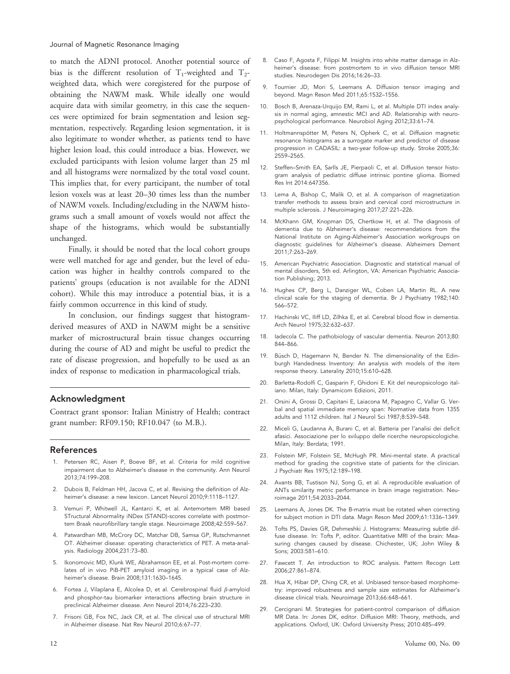to match the ADNI protocol. Another potential source of bias is the different resolution of  $T_1$ -weighted and  $T_2$ weighted data, which were coregistered for the purpose of obtaining the NAWM mask. While ideally one would acquire data with similar geometry, in this case the sequences were optimized for brain segmentation and lesion segmentation, respectively. Regarding lesion segmentation, it is also legitimate to wonder whether, as patients tend to have higher lesion load, this could introduce a bias. However, we excluded participants with lesion volume larger than 25 ml and all histograms were normalized by the total voxel count. This implies that, for every participant, the number of total lesion voxels was at least 20–30 times less than the number of NAWM voxels. Including/excluding in the NAWM histograms such a small amount of voxels would not affect the shape of the histograms, which would be substantially unchanged.

Finally, it should be noted that the local cohort groups were well matched for age and gender, but the level of education was higher in healthy controls compared to the patients' groups (education is not available for the ADNI cohort). While this may introduce a potential bias, it is a fairly common occurrence in this kind of study.

In conclusion, our findings suggest that histogramderived measures of AXD in NAWM might be a sensitive marker of microstructural brain tissue changes occurring during the course of AD and might be useful to predict the rate of disease progression, and hopefully to be used as an index of response to medication in pharmacological trials.

## Acknowledgment

Contract grant sponsor: Italian Ministry of Health; contract grant number: RF09.150; RF10.047 (to M.B.).

### References

- 1. Petersen RC, Aisen P, Boeve BF, et al. Criteria for mild cognitive impairment due to Alzheimer's disease in the community. Ann Neurol 2013;74:199–208.
- 2. Dubois B, Feldman HH, Jacova C, et al. Revising the definition of Alzheimer's disease: a new lexicon. Lancet Neurol 2010;9:1118–1127.
- 3. Vemuri P, Whitwell JL, Kantarci K, et al. Antemortem MRI based STructural Abnormality iNDex (STAND)-scores correlate with postmortem Braak neurofibrillary tangle stage. Neuroimage 2008;42:559–567.
- 4. Patwardhan MB, McCrory DC, Matchar DB, Samsa GP, Rutschmannet OT. Alzheimer disease: operating characteristics of PET. A meta-analysis. Radiology 2004;231:73–80.
- 5. Ikonomovic MD, Klunk WE, Abrahamson EE, et al. Post-mortem correlates of in vivo PiB-PET amyloid imaging in a typical case of Alzheimer's disease. Brain 2008;131:1630–1645.
- 6. Fortea J, Vilaplana E, Alcolea D, et al. Cerebrospinal fluid  $\beta$ -amyloid and phosphor-tau biomarker interactions affecting brain structure in preclinical Alzheimer disease. Ann Neurol 2014;76:223–230.
- 7. Frisoni GB, Fox NC, Jack CR, et al. The clinical use of structural MRI in Alzheimer disease. Nat Rev Neurol 2010;6:67–77.
- 8. Caso F, Agosta F, Filippi M. Insights into white matter damage in Alzheimer's disease: from postmortem to in vivo diffusion tensor MRI studies. Neurodegen Dis 2016;16:26–33.
- 9. Tournier JD, Mori S, Leemans A. Diffusion tensor imaging and beyond. Magn Reson Med 2011;65:1532–1556.
- 10. Bosch B, Arenaza-Urquijo EM, Rami L, et al. Multiple DTI index analysis in normal aging, amnestic MCI and AD. Relationship with neuropsychological performance. Neurobiol Aging 2012;33:61–74.
- 11. Holtmannspötter M, Peters N, Opherk C, et al. Diffusion magnetic resonance histograms as a surrogate marker and predictor of disease progression in CADASIL: a two-year follow-up study. Stroke 2005;36: 2559–2565.
- 12. Steffen–Smith EA, Sarlls JE, Pierpaoli C, et al. Diffusion tensor histogram analysis of pediatric diffuse intrinsic pontine glioma. Biomed Res Int 2014:647356.
- 13. Lema A, Bishop C, Malik O, et al. A comparison of magnetization transfer methods to assess brain and cervical cord microstructure in multiple sclerosis. J Neuroimaging 2017;27:221–226.
- 14. McKhann GM, Knopman DS, Chertkow H, et al. The diagnosis of dementia due to Alzheimer's disease: recommendations from the National Institute on Aging-Alzheimer's Association workgroups on diagnostic guidelines for Alzheimer's disease. Alzheimers Dement 2011;7:263–269.
- 15. American Psychiatric Association. Diagnostic and statistical manual of mental disorders, 5th ed. Arlington, VA: American Psychiatric Association Publishing; 2013.
- 16. Hughes CP, Berg L, Danziger WL, Coben LA, Martin RL. A new clinical scale for the staging of dementia. Br J Psychiatry 1982;140: 566–572.
- 17. Hachinski VC, Iliff LD, Zilhka E, et al. Cerebral blood flow in dementia. Arch Neurol 1975;32:632–637.
- 18. Iadecola C. The pathobiology of vascular dementia. Neuron 2013;80: 844–866.
- 19. Büsch D, Hagemann N, Bender N. The dimensionality of the Edinburgh Handedness Inventory: An analysis with models of the item response theory. Laterality 2010;15:610–628.
- 20. Barletta-Rodolfi C, Gasparin F, Ghidoni E. Kit del neuropsicologo italiano. Milan, Italy: Dynamicom Edizioni, 2011.
- 21. Orsini A, Grossi D, Capitani E, Laiacona M, Papagno C, Vallar G. Verbal and spatial immediate memory span: Normative data from 1355 adults and 1112 children. Ital J Neurol Sci 1987;8:539–548.
- 22. Miceli G, Laudanna A, Burani C, et al. Batteria per l'analisi dei deficit afasici. Associazione per lo sviluppo delle ricerche neuropsicologiche. Milan, Italy: Berdata; 1991.
- 23. Folstein MF, Folstein SE, McHugh PR. Mini-mental state. A practical method for grading the cognitive state of patients for the clinician. J Psychiatr Res 1975;12:189–198.
- 24. Avants BB, Tustison NJ, Song G, et al. A reproducible evaluation of ANTs similarity metric performance in brain image registration. Neuroimage 2011;54:2033–2044.
- 25. Leemans A, Jones DK. The B-matrix must be rotated when correcting for subject motion in DTI data. Magn Reson Med 2009;61:1336–1349.
- 26. Tofts PS, Davies GR, Dehmeshki J. Histograms: Measuring subtle diffuse disease. In: Tofts P, editor. Quantitative MRI of the brain: Measuring changes caused by disease. Chichester, UK; John Wiley & Sons; 2003:581–610.
- 27. Fawcett T. An introduction to ROC analysis. Pattern Recogn Lett 2006;27:861–874.
- 28. Hua X, Hibar DP, Ching CR, et al. Unbiased tensor-based morphometry: improved robustness and sample size estimates for Alzheimer's disease clinical trials. Neuroimage 2013;66:648–661.
- 29. Cercignani M. Strategies for patient-control comparison of diffusion MR Data. In: Jones DK, editor. Diffusion MRI: Theory, methods, and applications. Oxford, UK: Oxford University Press; 2010:485–499.